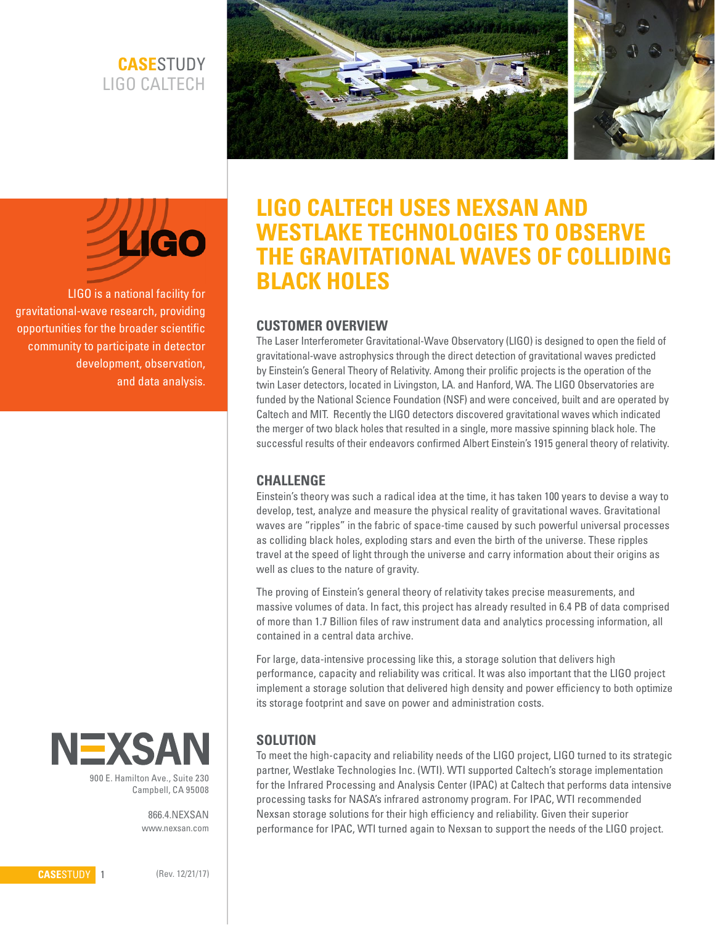# **CASE**STUDY LIGO CALTECH





LIGO is a national facility for gravitational-wave research, providing opportunities for the broader scientific community to participate in detector development, observation, and data analysis.



Campbell, CA 95008

866.4.NEXSAN www.nexsan.com

# **LIGO CALTECH USES NEXSAN AND WESTLAKE TECHNOLOGIES TO OBSERVE THE GRAVITATIONAL WAVES OF COLLIDING BLACK HOLES**

## **CUSTOMER OVERVIEW**

The Laser Interferometer Gravitational-Wave Observatory (LIGO) is designed to open the field of gravitational-wave astrophysics through the direct detection of gravitational waves predicted by Einstein's General Theory of Relativity. Among their prolific projects is the operation of the twin Laser detectors, located in Livingston, LA. and Hanford, WA. The LIGO Observatories are funded by the National Science Foundation (NSF) and were conceived, built and are operated by Caltech and MIT. Recently the LIGO detectors discovered gravitational waves which indicated the merger of two black holes that resulted in a single, more massive spinning black hole. The successful results of their endeavors confirmed Albert Einstein's 1915 general theory of relativity.

#### **CHALLENGE**

Einstein's theory was such a radical idea at the time, it has taken 100 years to devise a way to develop, test, analyze and measure the physical reality of gravitational waves. Gravitational waves are "ripples" in the fabric of space-time caused by such powerful universal processes as colliding black holes, exploding stars and even the birth of the universe. These ripples travel at the speed of light through the universe and carry information about their origins as well as clues to the nature of gravity.

The proving of Einstein's general theory of relativity takes precise measurements, and massive volumes of data. In fact, this project has already resulted in 6.4 PB of data comprised of more than 1.7 Billion files of raw instrument data and analytics processing information, all contained in a central data archive.

For large, data-intensive processing like this, a storage solution that delivers high performance, capacity and reliability was critical. It was also important that the LIGO project implement a storage solution that delivered high density and power efficiency to both optimize its storage footprint and save on power and administration costs.

# **SOLUTION**

To meet the high-capacity and reliability needs of the LIGO project, LIGO turned to its strategic partner, Westlake Technologies Inc. (WTI). WTI supported Caltech's storage implementation for the Infrared Processing and Analysis Center (IPAC) at Caltech that performs data intensive processing tasks for NASA's infrared astronomy program. For IPAC, WTI recommended Nexsan storage solutions for their high efficiency and reliability. Given their superior performance for IPAC, WTI turned again to Nexsan to support the needs of the LIGO project.